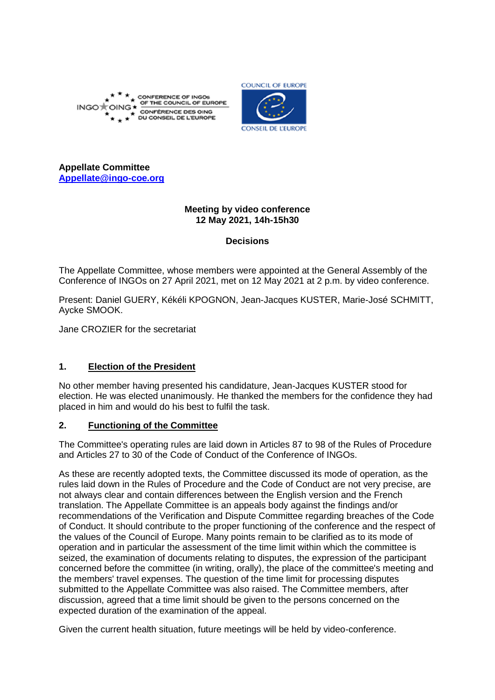



**Appellate Committee [Appellate@ingo-coe.org](mailto:Appellate@ingo-coe.org)**

## **Meeting by video conference 12 May 2021, 14h-15h30**

## **Decisions**

The Appellate Committee, whose members were appointed at the General Assembly of the Conference of INGOs on 27 April 2021, met on 12 May 2021 at 2 p.m. by video conference.

Present: Daniel GUERY, Kékéli KPOGNON, Jean-Jacques KUSTER, Marie-José SCHMITT, Aycke SMOOK.

Jane CROZIER for the secretariat

## **1. Election of the President**

No other member having presented his candidature, Jean-Jacques KUSTER stood for election. He was elected unanimously. He thanked the members for the confidence they had placed in him and would do his best to fulfil the task.

## **2. Functioning of the Committee**

The Committee's operating rules are laid down in Articles 87 to 98 of the Rules of Procedure and Articles 27 to 30 of the Code of Conduct of the Conference of INGOs.

As these are recently adopted texts, the Committee discussed its mode of operation, as the rules laid down in the Rules of Procedure and the Code of Conduct are not very precise, are not always clear and contain differences between the English version and the French translation. The Appellate Committee is an appeals body against the findings and/or recommendations of the Verification and Dispute Committee regarding breaches of the Code of Conduct. It should contribute to the proper functioning of the conference and the respect of the values of the Council of Europe. Many points remain to be clarified as to its mode of operation and in particular the assessment of the time limit within which the committee is seized, the examination of documents relating to disputes, the expression of the participant concerned before the committee (in writing, orally), the place of the committee's meeting and the members' travel expenses. The question of the time limit for processing disputes submitted to the Appellate Committee was also raised. The Committee members, after discussion, agreed that a time limit should be given to the persons concerned on the expected duration of the examination of the appeal.

Given the current health situation, future meetings will be held by video-conference.